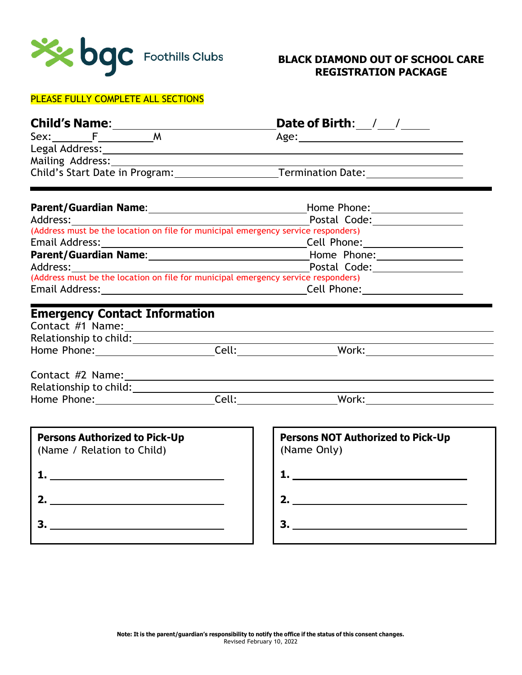

#### PLEASE FULLY COMPLETE ALL SECTIONS

| <b>Child's Name:</b> |                                | Date of Birth:           |
|----------------------|--------------------------------|--------------------------|
| Sex:                 | м                              | Age:                     |
| Legal Address:       |                                |                          |
|                      | Mailing Address:               |                          |
|                      | Child's Start Date in Program: | <b>Termination Date:</b> |

| <b>Parent/Guardian Name:</b>                                                      | Home Phone:  |  |  |  |
|-----------------------------------------------------------------------------------|--------------|--|--|--|
| Address:                                                                          | Postal Code: |  |  |  |
| (Address must be the location on file for municipal emergency service responders) |              |  |  |  |
| Email Address:                                                                    | Cell Phone:  |  |  |  |
| <b>Parent/Guardian Name:</b>                                                      | Home Phone:  |  |  |  |
| Address:                                                                          | Postal Code: |  |  |  |
| (Address must be the location on file for municipal emergency service responders) |              |  |  |  |
| Email Address:                                                                    | Cell Phone:  |  |  |  |

# **Emergency Contact Information**

| Contact #1 Name:       |       |       |  |
|------------------------|-------|-------|--|
| Relationship to child: |       |       |  |
| Home Phone:            | Cell. | Work: |  |

| Contact #2 Name:       |       |       |  |
|------------------------|-------|-------|--|
| Relationship to child: |       |       |  |
| Home Phone:            | Cell: | Work: |  |

| <b>Persons Authorized to Pick-Up</b><br>(Name / Relation to Child) |  |  |  |
|--------------------------------------------------------------------|--|--|--|
|                                                                    |  |  |  |
| 2.                                                                 |  |  |  |
|                                                                    |  |  |  |

| <b>Persons NOT Authorized to Pick-Up</b><br>(Name Only) |  |
|---------------------------------------------------------|--|
|                                                         |  |
| 2.                                                      |  |
|                                                         |  |
|                                                         |  |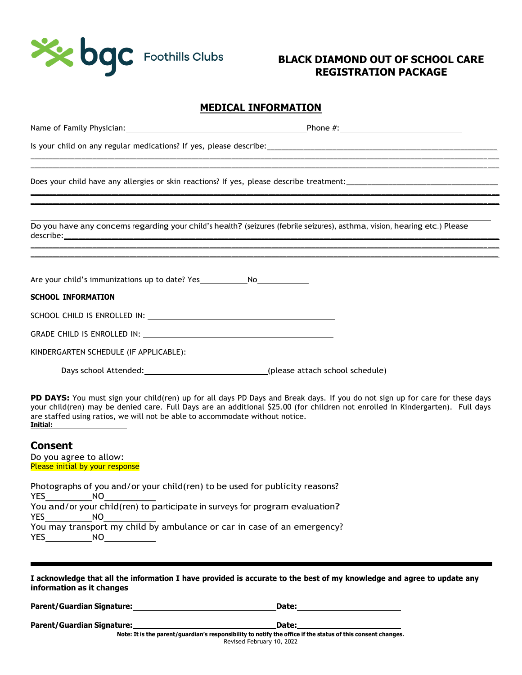

#### **MEDICAL INFORMATION**

| Do you have any concerns regarding your child's health? (seizures (febrile seizures), asthma, vision, hearing etc.) Please                                                                                                                                                                                                                                                                                                                                                                                                                                                            |  |
|---------------------------------------------------------------------------------------------------------------------------------------------------------------------------------------------------------------------------------------------------------------------------------------------------------------------------------------------------------------------------------------------------------------------------------------------------------------------------------------------------------------------------------------------------------------------------------------|--|
|                                                                                                                                                                                                                                                                                                                                                                                                                                                                                                                                                                                       |  |
| Are your child's immunizations up to date? Yes No                                                                                                                                                                                                                                                                                                                                                                                                                                                                                                                                     |  |
| <b>SCHOOL INFORMATION</b>                                                                                                                                                                                                                                                                                                                                                                                                                                                                                                                                                             |  |
|                                                                                                                                                                                                                                                                                                                                                                                                                                                                                                                                                                                       |  |
| GRADE CHILD IS ENROLLED IN: WE ARE A RESIDENCE ON A RESIDENCE OF A RESIDENCE OF A RESIDENCE OF A RESIDENCE OF A RESIDENCE OF A RESIDENCE OF A RESIDENCE OF A RESIDENCE OF A RESIDENCE OF A RESIDENCE OF A RESIDENCE OF A RESID                                                                                                                                                                                                                                                                                                                                                        |  |
| KINDERGARTEN SCHEDULE (IF APPLICABLE):                                                                                                                                                                                                                                                                                                                                                                                                                                                                                                                                                |  |
| Days school Attended: (please attach school schedule)                                                                                                                                                                                                                                                                                                                                                                                                                                                                                                                                 |  |
| PD DAYS: You must sign your child(ren) up for all days PD Days and Break days. If you do not sign up for care for these days<br>your child(ren) may be denied care. Full Days are an additional \$25.00 (for children not enrolled in Kindergarten). Full days<br>are staffed using ratios, we will not be able to accommodate without notice.<br><b>Initial:</b> the control of the control of the control of the control of the control of the control of the control of the control of the control of the control of the control of the control of the control of the control of t |  |
| <b>Consent</b>                                                                                                                                                                                                                                                                                                                                                                                                                                                                                                                                                                        |  |
| Do you agree to allow:<br>Please initial by your response                                                                                                                                                                                                                                                                                                                                                                                                                                                                                                                             |  |
| Photographs of you and/or your child(ren) to be used for publicity reasons?<br>YES NO<br>You and/or your child(ren) to participate in surveys for program evaluation?                                                                                                                                                                                                                                                                                                                                                                                                                 |  |

YES NO You may transport my child by ambulance or car in case of an emergency? YES\_\_\_\_\_\_\_\_\_\_\_\_\_\_NO\_\_\_\_\_\_\_\_\_\_\_\_\_\_\_

I acknowledge that all the information I have provided is accurate to the best of my knowledge and agree to update any **information as it changes**

**Parent/Guardian Signature: Date: Date: Date: Date: Date: Date: Date: Date: Date: Date: Date: Date: Date: Date: Date: Date: Date: Date: Date: Date: Date: Date: Date: Date:**

**Parent/Guardian Signature: Date: Date: Date:** 

Note: It is the parent/guardian's responsibility to notify the office if the status of this consent changes. Revised February 10, 2022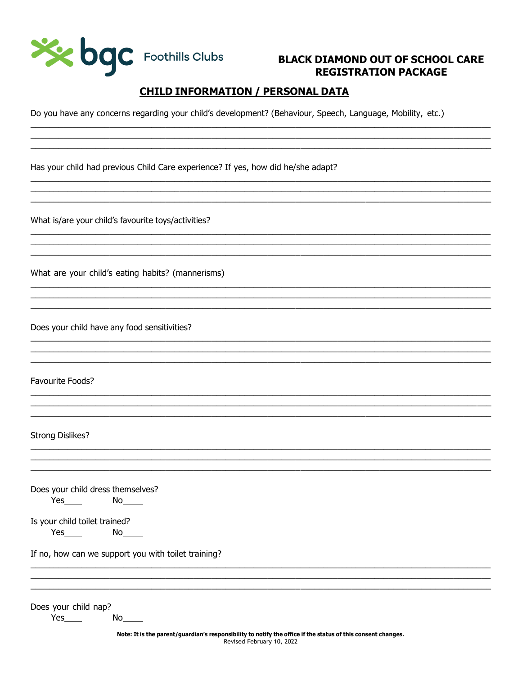

### **CHILD INFORMATION / PERSONAL DATA**

Do you have any concerns regarding your child's development? (Behaviour, Speech, Language, Mobility, etc.)

Has your child had previous Child Care experience? If yes, how did he/she adapt?

What is/are your child's favourite toys/activities?

What are your child's eating habits? (mannerisms)

Does your child have any food sensitivities?

Favourite Foods?

**Strong Dislikes?** 

Does your child dress themselves?  $Yes$   $No$   $No$ 

Is your child toilet trained? 

If no, how can we support you with toilet training?

Does your child nap? Yes

No l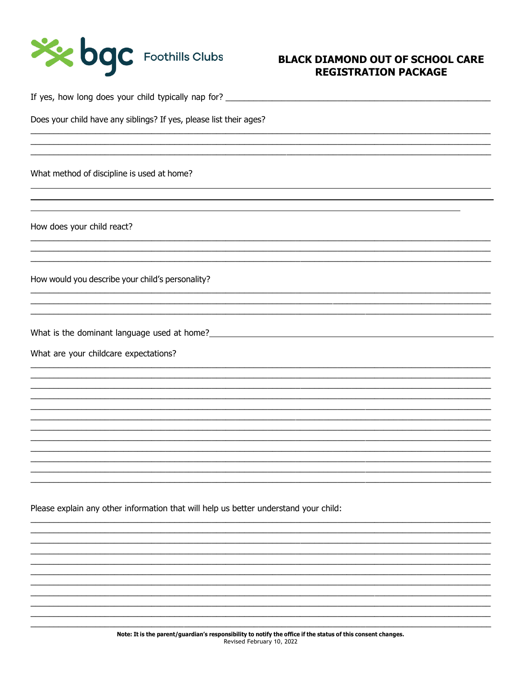

If yes, how long does your child typically nap for?

Does your child have any siblings? If yes, please list their ages?

What method of discipline is used at home?

How does your child react?

How would you describe your child's personality?

What is the dominant language used at home?

What are your childcare expectations?

Please explain any other information that will help us better understand your child: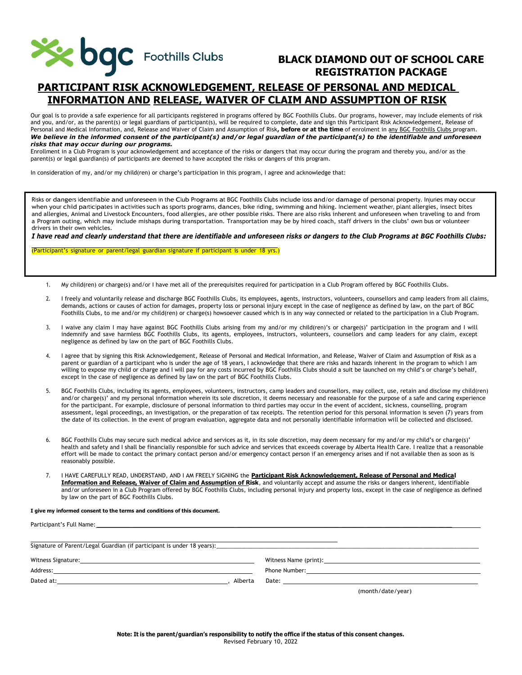

## **PARTICIPANT RISK ACKNOWLEDGEMENT, RELEASE OF PERSONAL AND MEDICAL INFORMATION AND RELEASE, WAIVER OF CLAIM AND ASSUMPTION OF RISK**

Our goal is to provide a safe experience for all participants registered in programs offered by BGC Foothills Clubs. Our programs, however, may include elements of risk and you, and/or, as the parent(s) or legal guardians of participant(s), will be required to complete, date and sign this Participant Risk Acknowledgement, Release of Personal and Medical Information, and, Release and Waiver of Claim and Assumption of Risk**, before or at the time** of enrolment in any BGC Foothills Clubs program. *We believe in the informed consent of the participant(s) and/or legal guardian of the participant(s) to the identifiable and unforeseen risks that may occur during our programs.*

Enrollment in a Club Program is your acknowledgement and acceptance of the risks or dangers that may occur during the program and thereby you, and/or as the parent(s) or legal guardian(s) of participants are deemed to have accepted the risks or dangers of this program.

In consideration of my, and/or my child(ren) or charge's participation in this program, I agree and acknowledge that:

Risks or dangers identifiable and unforeseen in the Club Programs at BGC Foothills Clubs include loss and/or damage of personal property. Injuries may occur when your child participates in activities such as sports programs, dances, bike riding, swimming and hiking. Inclement weather, plant allergies, insect bites and allergies, Animal and Livestock Encounters, food allergies, are other possible risks. There are also risks inherent and unforeseen when traveling to and from a Program outing, which may include mishaps during transportation. Transportation may be by hired coach, staff drivers in the clubs' own bus or volunteer drivers in their own vehicles.

*I have read and clearly understand that there are identifiable and unforeseen risks or dangers to the Club Programs at BGC Foothills Clubs:*

(Participant's signature or parent/legal guardian signature if participant is under 18 yrs.)

- 1. My child(ren) or charge(s) and/or I have met all of the prerequisites required for participation in a Club Program offered by BGC Foothills Clubs.
- 2. I freely and voluntarily release and discharge BGC Foothills Clubs, its employees, agents, instructors, volunteers, counsellors and camp leaders from all claims, demands, actions or causes of action for damages, property loss or personal injury except in the case of negligence as defined by law, on the part of BGC Foothills Clubs, to me and/or my child(ren) or charge(s) howsoever caused which is in any way connected or related to the participation in a Club Program.
- 3. I waive any claim I may have against BGC Foothills Clubs arising from my and/or my child(ren)'s or charge(s)' participation in the program and I will indemnify and save harmless BGC Foothills Clubs, its agents, employees, instructors, volunteers, counsellors and camp leaders for any claim, except negligence as defined by law on the part of BGC Foothills Clubs.
- 4. I agree that by signing this Risk Acknowledgement, Release of Personal and Medical Information, and Release, Waiver of Claim and Assumption of Risk as a parent or guardian of a participant who is under the age of 18 years, I acknowledge that there are risks and hazards inherent in the program to which I am willing to expose my child or charge and I will pay for any costs incurred by BGC Foothills Clubs should a suit be launched on my child's or charge's behalf, except in the case of negligence as defined by law on the part of BGC Foothills Clubs.
- 5. BGC Foothills Clubs, including its agents, employees, volunteers, instructors, camp leaders and counsellors, may collect, use, retain and disclose my child(ren) and/or charge(s)' and my personal information wherein its sole discretion, it deems necessary and reasonable for the purpose of a safe and caring experience for the participant. For example, disclosure of personal information to third parties may occur in the event of accident, sickness, counselling, program assessment, legal proceedings, an investigation, or the preparation of tax receipts. The retention period for this personal information is seven (7) years from the date of its collection. In the event of program evaluation, aggregate data and not personally identifiable information will be collected and disclosed.
- 6. BGC Foothills Clubs may secure such medical advice and services as it, in its sole discretion, may deem necessary for my and/or my child's or charge(s)' health and safety and I shall be financially responsible for such advice and services that exceeds coverage by Alberta Health Care. I realize that a reasonable effort will be made to contact the primary contact person and/or emergency contact person if an emergency arises and if not available then as soon as is reasonably possible.
- 7. I HAVE CAREFULLY READ, UNDERSTAND, AND I AM FREELY SIGNING the **Participant Risk Acknowledgement, Release of Personal and Medical Information and Release, Waiver of Claim and Assumption of Risk**, and voluntarily accept and assume the risks or dangers inherent, identifiable and/or unforeseen in a Club Program offered by BGC Foothills Clubs, including personal injury and property loss, except in the case of negligence as defined by law on the part of BGC Foothills Clubs.

**I give my informed consent to the terms and conditions of this document.**

Participant's Full Name:

| Witness Signature:<br><u> 1989 - Johann Stein, mars an de Frankrik (f. 1989)</u>                             |         | Witness Name (print):                                                                                                                                                                                                          |
|--------------------------------------------------------------------------------------------------------------|---------|--------------------------------------------------------------------------------------------------------------------------------------------------------------------------------------------------------------------------------|
| Address:<br><u> 1980 - Johann Stoff, Amerikaansk konstantinopler († 1908)</u>                                |         |                                                                                                                                                                                                                                |
| Dated at:<br>the contract of the contract of the contract of the contract of the contract of the contract of | Alberta | Date: the contract of the contract of the contract of the contract of the contract of the contract of the contract of the contract of the contract of the contract of the contract of the contract of the contract of the cont |
|                                                                                                              |         | (month/date/year)                                                                                                                                                                                                              |

Note: It is the parent/guardian's responsibility to notify the office if the status of this consent changes. Revised February 10, 2022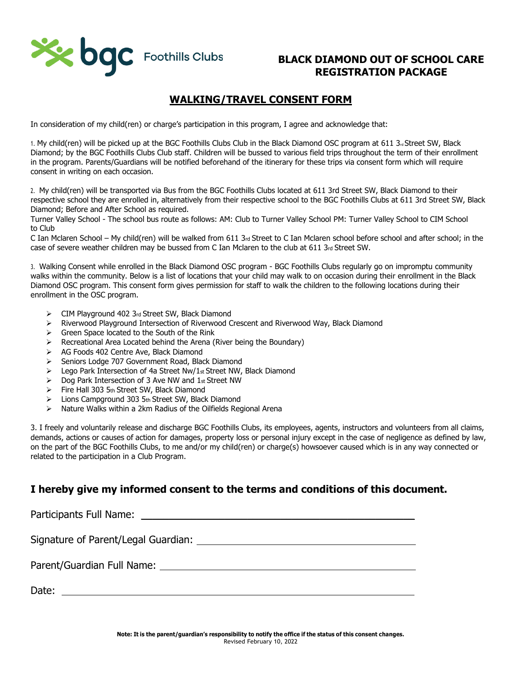

## **WALKING/TRAVEL CONSENT FORM**

In consideration of my child(ren) or charge's participation in this program, I agree and acknowledge that:

1. My child(ren) will be picked up at the BGC Foothills Clubs Club in the Black Diamond OSC program at 611 3<sub>rd</sub> Street SW, Black Diamond; by the BGC Foothills Clubs Club staff. Children will be bussed to various field trips throughout the term of their enrollment in the program. Parents/Guardians will be notified beforehand of the itinerary for these trips via consent form which will require consent in writing on each occasion.

2. My child(ren) will be transported via Bus from the BGC Foothills Clubs located at 611 3rd Street SW, Black Diamond to their respective school they are enrolled in, alternatively from their respective school to the BGC Foothills Clubs at 611 3rd Street SW, Black Diamond; Before and After School as required.

Turner Valley School - The school bus route as follows: AM: Club to Turner Valley School PM: Turner Valley School to CIM School to Club

C Ian Mclaren School – My child(ren) will be walked from 611 3rd Street to C Ian Mclaren school before school and after school; in the case of severe weather children may be bussed from C Ian Mclaren to the club at 611  $3<sub>rd</sub>$  Street SW.

3. Walking Consent while enrolled in the Black Diamond OSC program - BGC Foothills Clubs regularly go on impromptu community walks within the community. Below is a list of locations that your child may walk to on occasion during their enrollment in the Black Diamond OSC program. This consent form gives permission for staff to walk the children to the following locations during their enrollment in the OSC program.

- ➢ CIM Playground 402 3rd Street SW, Black Diamond
- ➢ Riverwood Playground Intersection of Riverwood Crescent and Riverwood Way, Black Diamond
- ➢ Green Space located to the South of the Rink
- ➢ Recreational Area Located behind the Arena (River being the Boundary)
- ➢ AG Foods 402 Centre Ave, Black Diamond
- ➢ Seniors Lodge 707 Government Road, Black Diamond
- ➢ Lego Park Intersection of 4a Street Nw/1st Street NW, Black Diamond
- $\triangleright$  Dog Park Intersection of 3 Ave NW and 1st Street NW
- ➢ Fire Hall 303 5th Street SW, Black Diamond
- ➢ Lions Campground 303 5th Street SW, Black Diamond
- ➢ Nature Walks within a 2km Radius of the Oilfields Regional Arena

3. I freely and voluntarily release and discharge BGC Foothills Clubs, its employees, agents, instructors and volunteers from all claims, demands, actions or causes of action for damages, property loss or personal injury except in the case of negligence as defined by law, on the part of the BGC Foothills Clubs, to me and/or my child(ren) or charge(s) howsoever caused which is in any way connected or related to the participation in a Club Program.

### **I hereby give my informed consent to the terms and conditions of this document.**

Participants Full Name:  $\Box$ Signature of Parent/Legal Guardian: Parent/Guardian Full Name: Date: **Date: Date: Date: Date: Date: Date: Date: Date: Date: Date: Date: Date: Date: Date: Date: Date: Date: Date: Date: Date: Date: Date: Date: Date: Date: Date: Date:**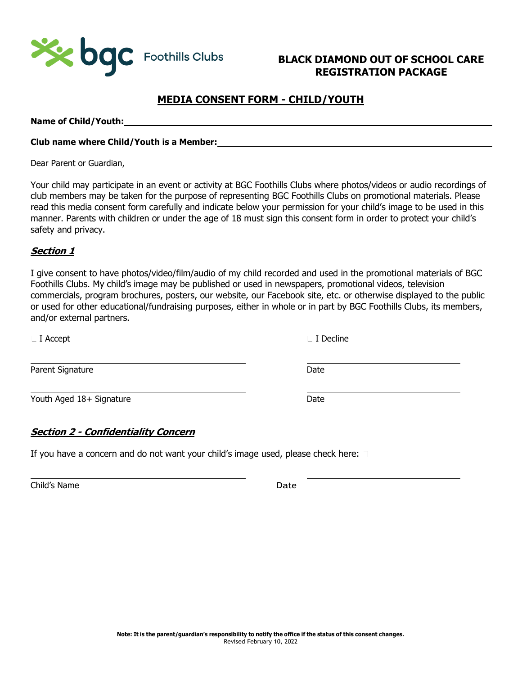

## **MEDIA CONSENT FORM - CHILD/YOUTH**

**Name of Child/Youth:**

#### **Club name where Child/Youth is a Member:**

Dear Parent or Guardian,

Your child may participate in an event or activity at BGC Foothills Clubs where photos/videos or audio recordings of club members may be taken for the purpose of representing BGC Foothills Clubs on promotional materials. Please read this media consent form carefully and indicate below your permission for your child's image to be used in this manner. Parents with children or under the age of 18 must sign this consent form in order to protect your child's safety and privacy.

#### **Section 1**

I give consent to have photos/video/film/audio of my child recorded and used in the promotional materials of BGC Foothills Clubs. My child's image may be published or used in newspapers, promotional videos, television commercials, program brochures, posters, our website, our Facebook site, etc. or otherwise displayed to the public or used for other educational/fundraising purposes, either in whole or in part by BGC Foothills Clubs, its members, and/or external partners.

Youth Aged 18+ Signature Date

#### **Section 2 - Confidentiality Concern**

If you have a concern and do not want your child's image used, please check here:  $\Box$ 

Child's Name Date

 $\Box$  I Accept  $\Box$  I Decline

Parent Signature Date Date Date